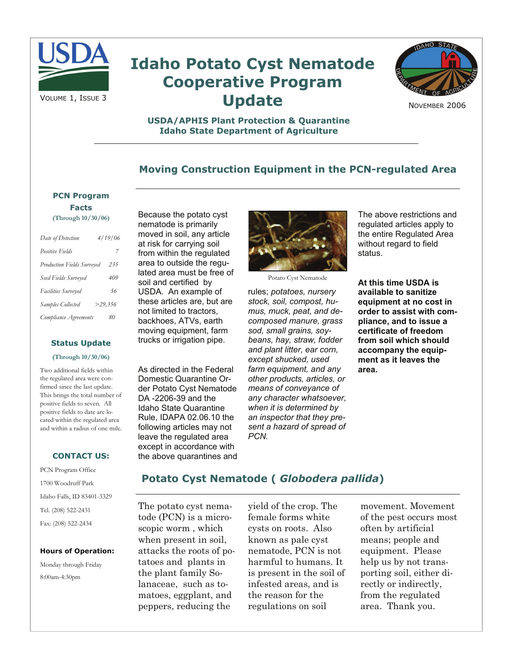

# **Idaho Potato Cyst Nematode Cooperative Program Update**



NOVEMBER 2006

### **USDA/APHIS Plant Protection & Quarantine Idaho State Department of Agriculture**

## **Moving Construction Equipment in the PCN-regulated Area**

## **PCN Program Facts**

**(Through 10/30/06)** 

| Date of Detection                 | 4/19/06 |
|-----------------------------------|---------|
| <b>Positive Fields</b>            | 7       |
| <b>Production Fields Surveyed</b> | 235     |
| Seed Fields Surveyed              | 409     |
| Facilities Surveyed               | 56      |
| Samples Collected                 | >29.356 |
| Compliance Agreements             | 80      |

#### **Status Update**

#### **(Through 10/30/06)**

Two additional fields within the regulated area were confirmed since the last update. This brings the total number of positive fields to seven. All positive fields to date are located within the regulated area and within a radius of one mile.

#### **CONTACT US:**

PCN Program Office 1700 Woodruff Park Idaho Falls, ID 83401-3329 Tel. (208) 522-2431 Fax: (208) 522-2434

#### **Hours of Operation:**

Monday through Friday 8:00am-4:30pm

Because the potato cyst nematode is primarily moved in soil, any article at risk for carrying soil from within the regulated area to outside the regulated area must be free of soil and certified by USDA. An example of these articles are, but are not limited to tractors, backhoes, ATVs, earth moving equipment, farm trucks or irrigation pipe.

As directed in the Federal Domestic Quarantine Order Potato Cyst Nematode DA -2206-39 and the Idaho State Quarantine Rule, IDAPA 02.06.10 the following articles may not leave the regulated area except in accordance with the above quarantines and



Potato Cyst Nematode

rules; *potatoes, nursery stock, soil, compost, humus, muck, peat, and decomposed manure, grass sod, small grains, soybeans, hay, straw, fodder and plant litter, ear corn, except shucked, used farm equipment, and any other products, articles, or means of conveyance of any character whatsoever, when it is determined by an inspector that they present a hazard of spread of PCN.* 

The above restrictions and regulated articles apply to the entire Regulated Area without regard to field status.

**At this time USDA is available to sanitize equipment at no cost in order to assist with compliance, and to issue a certificate of freedom from soil which should accompany the equipment as it leaves the area.** 

## **Potato Cyst Nematode (** *Globodera pallida***)**

The potato cyst nematode (PCN) is a microscopic worm , which when present in soil, attacks the roots of potatoes and plants in the plant family Solanaceae, such as tomatoes, eggplant, and peppers, reducing the

yield of the crop. The female forms white cysts on roots. Also known as pale cyst nematode, PCN is not harmful to humans. It is present in the soil of infested areas, and is the reason for the regulations on soil

movement. Movement of the pest occurs most often by artificial means; people and equipment. Please help us by not transporting soil, either directly or indirectly, from the regulated area. Thank you.